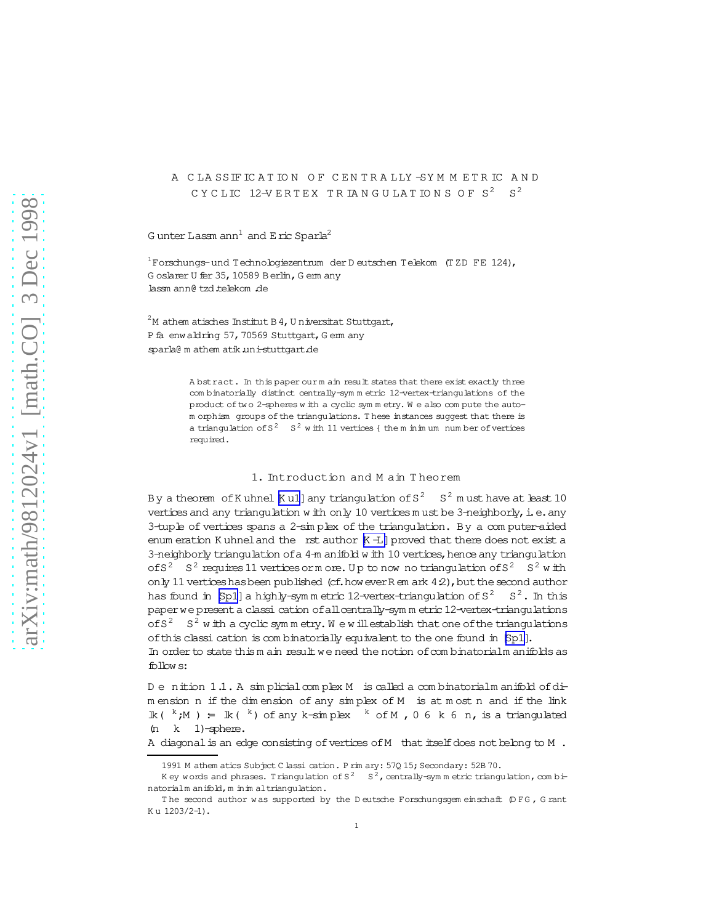# A CLASSIFICATION OF CENTRALLY-SYMMETRIC AND CYCLIC 12-VERTEX TRIANGULATIONS OF  $S^2$   $S^2$

G unter Lassm ann<sup>1</sup> and E ric Sparla<sup>2</sup>

 $1$ Forschungs- und Technologiezentrum der Deutschen Telekom (TZD FE 124), Goslarer U fer 35, 10589 Berlin, Gem any lassm ann@ tzd.telekom .de

 $2$ M athem atisches Institut B 4, U niversitat Stuttgart, P fa enwaldring 57, 70569 Stuttgart, G em any sparla@ m athem atik uni-stuttgart.de

> A bstract. In this paper our m ain result states that there exist exactly three com binatorially distinct centrally-symm etric 12-vertex-triangulations of the product of two 2-spheres with a cyclic symmetry. We also compute the autom orphism groups of the triangulations. These instances suggest that there is a triangulation of  $S^2$   $S^2$  w ith 11 vertices { the m in im um num ber of vertices required.

### 1. Introduction and M ain Theorem

By a theorem of K uhnel [K u1] any triangulation of  $S^2$   $S^2$  m ust have at least 10 vertices and any triangulation with only 10 vertices must be 3-neighborly, i.e. any 3-tuple of vertices spans a 2-simplex of the triangulation. By a computer-aided enum eration K uhnel and the rst author  $K - I$  proved that there does not exist a 3-neighborly triangulation of a 4-m anifold w ith 10 vertices, hence any triangulation of  $S^2$   $S^2$  requires 11 vertices or m ore. Up to now no triangulation of  $S^2$   $S^2$  with only 11 vertices has been published (cf. how ever R em ark  $42$ ), but the second author has found in [Sp1] a highly-symmetric 12-vertex-triangulation of  $S^2$   $S^2$ . In this paper we present a classi cation of all centrally-symm etric 12-vertex-triangulations of  $S^2$   $S^2$  w ith a cyclic symmetry. We will establish that one of the triangulations of this classi cation is combinatorially equivalent to the one found in [Sp1].

In order to state this m ain result we need the notion of combinatorialm anifolds as follow s:

Denition 1.1. A simplicial complex M is called a combinatorialm anifold of dimension n if the dimension of any simplex of M is at most n and if the link  $\mathbb{k}$  (  $^k$  ; M ) =  $\mathbb{k}$  (  $^k$  ) of any k-simplex  $^k$  of M , 0 6 k 6 n, is a triangulated  $(n \t k \t 1)$ -sphere.

A diagonal is an edge consisting of vertices of M that itself does not belong to M.

<sup>1991</sup> M athem atics Subject C lassi cation. P rim ary: 570 15; Secondary: 52B 70.

K ey words and phrases. Triangulation of  $S^2$   $S^2$ , centrally-sym m etric triangulation, com binatorialm anifold, m in im al triangulation.

The second author was supported by the Deutsche Forschungsgem einschaft (DFG, Grant Ku 1203/2-1).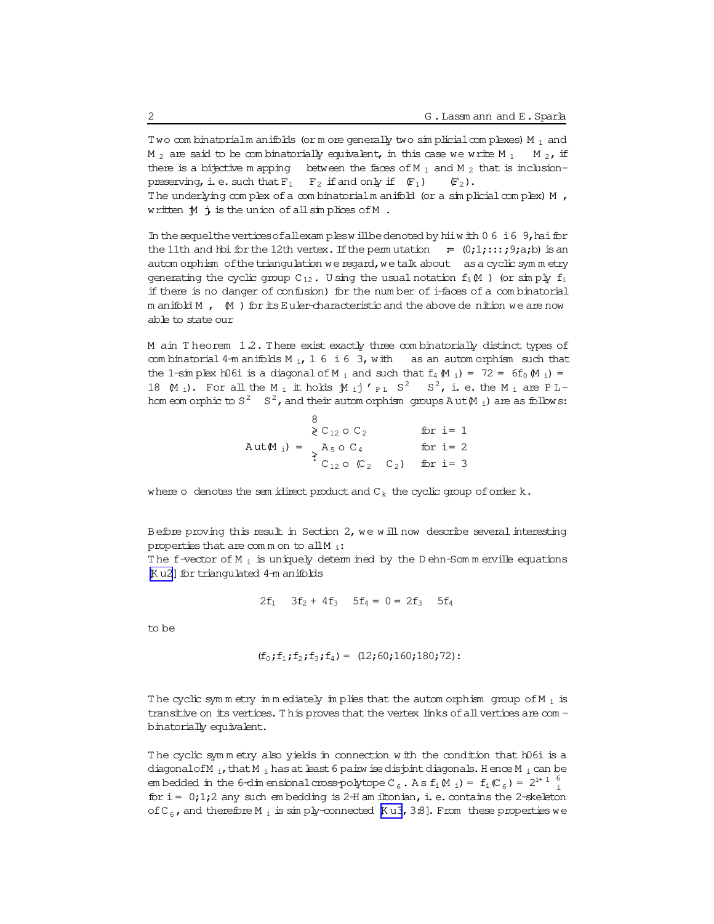Two combinatorialm anifolds (or more generally two simplicial complexes)  $M_1$  and M<sub>2</sub> are said to be combinatorially equivalent, in this case we write M<sub>1</sub> M 2, if there is a bijective mapping between the faces of  $M_1$  and  $M_2$  that is inclusionpreserving, i.e. such that  $F_1$   $F_2$  if and only if  $(F_1)$  $(\mathbb{F}_2)$ . The underlying complex of a combinatorial manifold (or a simplicial complex) M , written  $\mathcal M$  j is the union of all simplices of M.

In the sequel the vertices of all examples will be denoted by hiiw ith  $06$  i  $6$  9, hai for the 11th and hbi for the 12th vertex. If the permutation =  $(0,1,1,1;1;0)$  is an autom orphism of the triangulation we regard, we talk about as a cyclic symmetry generating the cyclic group  $C_{12}$ . Using the usual notation  $f_i(M)$  (or simply  $f_i$ if there is no danger of confusion) for the number of i-faces of a combinatorial m anifold  $M$ ,  $(M)$  for its Euler-characteristic and the above denition we are now able to state our

M ain Theorem 1.2. There exist exactly three combinatorially distinct types of com binatorial 4-m anifolds  $M_i$ , 16 i6 3, with as an autom orphism such that the 1-sim plex h06i is a diagonal of M<sub>j</sub> and such that  $f_4 \uparrow (f_4 \uparrow (f_5 \uparrow (f_6 \uparrow (f_7 \uparrow (f_7 \uparrow (f_8 \uparrow (f_7 \uparrow (f_8 \uparrow (f_8 \uparrow (f_8 \uparrow (f_8 \uparrow (f_8 \uparrow (f_8 \uparrow (f_8 \uparrow (f_8 \uparrow (f_8 \uparrow (f_8 \uparrow (f_8 \uparrow (f_8 \uparrow (f_8 \uparrow (f_8 \uparrow (f_8 \uparrow (f_8$ 18  $(M_i)$ . For all the M<sub>i</sub> it holds  $M_i$  j'<sub>PL</sub> S<sup>2</sup> S<sup>2</sup>, i. e. the M<sub>i</sub> are PLhom eom orphic to  $S^2$   $S^2$ , and their autom orphism groups Aut $M_i$ ) are as follows:

$$
\begin{array}{rcl}\n\mathbf{8} & \mathbf{C}_{12} \circ \mathbf{C}_{2} & \text{for } i = 1 \\
\mathbf{A} \text{ut} \mathbf{M}_{i}) & = & \mathbf{A}_{5} \circ \mathbf{C}_{4} & \text{for } i = 2 \\
\mathbf{C}_{12} \circ (\mathbf{C}_{2} \quad \mathbf{C}_{2}) & \text{for } i = 3\n\end{array}
$$

where o denotes the sem idirect product and  $C_k$  the cyclic group of order  $k$ .

Before proving this result in Section 2, we will now describe several interesting properties that are common to all  $M_i$ :

The f-vector of  $M_i$  is uniquely determined by the Dehn-Sommerville equations Ku2] for triangulated 4-m anifolds

$$
2f_1
$$
  $3f_2 + 4f_3$   $5f_4 = 0 = 2f_3$   $5f_4$ 

to be

$$
(f_0; f_1; f_2; f_3; f_4) = (12; 60; 160; 180; 72):
$$

The cyclic symmetry in mediately in plies that the automorphism group of M  $_i$  is transitive on its vertices. This proves that the vertex links of all vertices are combinatorially equivalent.

The cyclic symmetry also yields in connection with the condition that h06i is a diagonal of M<sub>i</sub>, that M<sub>i</sub> has at least 6 pairw ise disjoint diagonals. Hence M<sub>i</sub> can be em bedded in the 6-dim ensional cross-polytope C<sub>6</sub>. A s f<sub>i</sub> $\mathfrak{M}_i$ ) = f<sub>i</sub> $\mathfrak{C}_6$ ) = 2<sup>i+ 1</sup><sup>6</sup> for  $i = 0,1,2$  any such embedding is 2-H am iltonian, i.e. contains the 2-skeleton of C<sub>6</sub>, and therefore M<sub>i</sub> is simply-connected [Ku3, 3.8]. From these properties we

 $\mathbf{2}$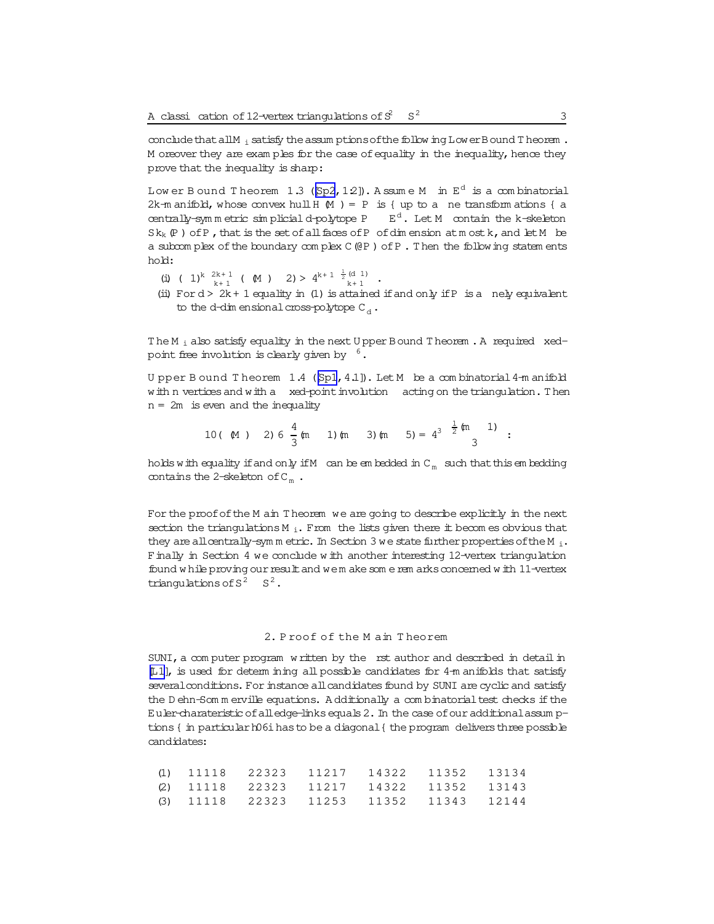conclude that all M<sub>i</sub> satisfy the assum ptions of the follow ing LowerBound T heorem . M oreover they are exam ples for the case of equality in the inequality, hence they prove that the inequality is sharp:

Low er Bound Theorem 1.3 ( $[Sp2, 12]$  $[Sp2, 12]$ ). Assume M in  $E^d$  is a combinatorial 2k-m anifold, whose convex hull  $H(M) = P$  is { up to a ne transform ations { a centrally-sym m etric sim plicial d-polytope P  $E^d$ . Let M contain the k-skeleton  $Sk_k(P)$  of P, that is the set of all faces of P of dim ension at m ost k, and let M be a subcom plex of the boundary complex C (@P) of P. Then the following statem ents hold:

- $({\tt i}) \ \ (\ {\tt l})^k \ {\overset{2k+1}{_{k+1}}} \ \ (\ \ {\tt \mathbb{M}} \ \ ) \quad \ 2) > \ 4^{k+ \ 1} \ {\overset{\frac{1}{2}}{_{k+1}}} \ {\overset{(d \ 1)}{_{k+1}}} \ \ .$
- (ii) For  $d > 2k + 1$  equality in (1) is attained if and only if P is a nely equivalent to the d-dim ensional cross-polytope  $C_d$ .

The M<sub>i</sub> also satisfy equality in the next U pper Bound T heorem . A required xedpoint free involution is clearly given by  $6.$ 

U pper B ound T heorem 1.4 ([\[Sp1,](#page-11-0) 4.1]). Let M be a combinatorial 4-m anifold with n vertices and with a xed-point involution acting on the triangulation. Then  $n = 2m$  is even and the inequality

10 ( M ) 2) 6 
$$
\frac{4}{3}
$$
 (m ) 1) (m ) 3) (m  $5$ ) =  $4^3$   $\frac{1}{2}$  (m ) 1)

holds with equality if and only if M can be em bedded in  $C_m$  such that this em bedding contains the 2-skeleton of  $C_m$ .

For the proof of the M ain T heorem we are going to describe explicitly in the next section the triangulations  $M_i$ . From the lists given there it becom es obvious that they are all centrally-sym m etric. In Section 3 we state further properties of the M  $_i$ . Finally in Section 4 we conclude w ith another interesting 12-vertex triangulation found w hile proving our result and wem ake som e rem arks concerned w ith 11-vertex triangulations of  $S^2$   $S^2$ .

## 2. P roof of the M ain T heorem

 $SUNI$ , a com puter program w ritten by the rst author and described in detail in [\[L1\]](#page-11-0), is used for determ ining all possible candidates for 4-m anifolds that satisfy several conditions. For instance all candidates found by SUNI are cyclic and satisfy the D ehn-Som m erville equations. A dditionally a com binatorial test checks if the Euler-charateristic ofalledge-linksequals2.In the case ofouradditionalassum ptions  $\int$  in particular h06i has to be a diagonal  $\int$  the program delivers three possible candidates:

|  |  | (1) 11118 22323 11217 14322 11352 13134 |       |
|--|--|-----------------------------------------|-------|
|  |  | (2) 11118 22323 11217 14322 11352 13143 |       |
|  |  | (3) 11118 22323 11253 11352 11343       | 12144 |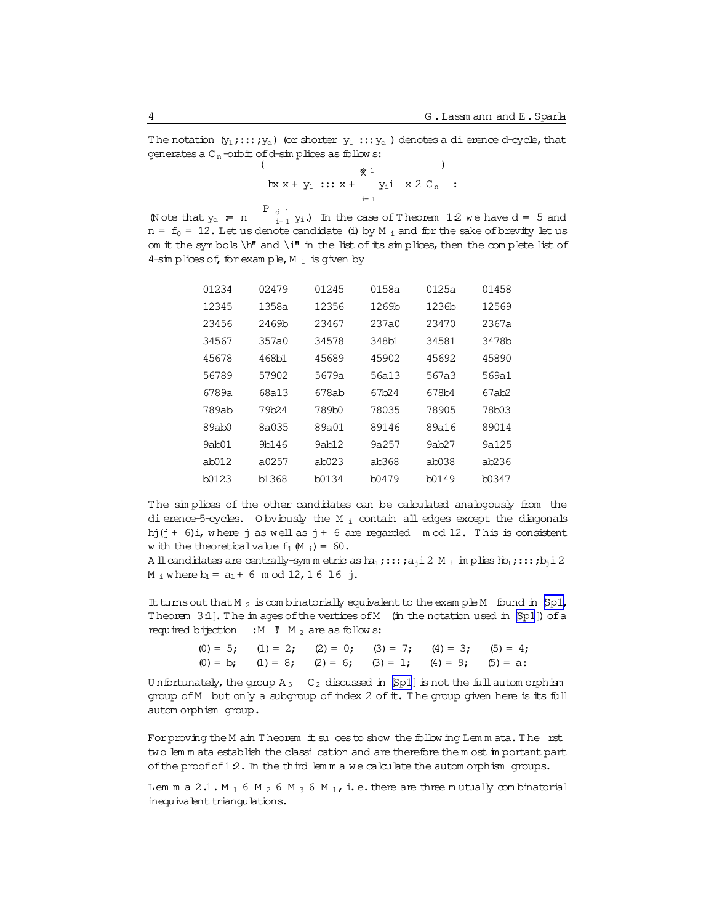<span id="page-3-0"></span>The notation  $(y_1, \ldots, y_d)$  (or shorter  $y_1, \ldots, y_d$ ) denotes a dierence d-cycle, that generates a  $C_n$ -orbit of d-simplices as follows:

Note that  $y_d = n$   $\begin{array}{c} P_{d,1} \\ P_{i-1} \end{array}$  In the case of Theorem 12 we have  $d = 5$  and  $n = f_0 = 12$ . Let us denote candidate (i) by M<sub>i</sub> and for the sake of brevity let us om it the symbols  $\hbar$ " and  $\iota$ " in the list of its simplices, then the complete list of 4-sim plices of, for example, M  $_1$  is given by

| 01234 | 02479 | 01245 | 0158a             | 0125a | 01458  |
|-------|-------|-------|-------------------|-------|--------|
| 12345 | 1358a | 12356 | 1269b             | 1236b | 12569  |
| 23456 | 2469b | 23467 | 237a0             | 23470 | 2367a  |
| 34567 | 357a0 | 34578 | 348b1             | 34581 | 3478b  |
| 45678 | 468b1 | 45689 | 45902             | 45692 | 45890  |
| 56789 | 57902 | 5679a | 56a13             | 567a3 | 569a1  |
| 6789a | 68a13 | 678ab | 67b <sub>24</sub> | 678b4 | 67ab2  |
| 789ab | 79b24 | 789b0 | 78035             | 78905 | 78b03  |
| 89ab0 | 8a035 | 89a01 | 89146             | 89a16 | 89014  |
| 9ab01 | 9b146 | 9ab12 | 9a257             | 9ab27 | 9a125  |
| ab012 | a0257 | ab023 | ab368             | ab038 | ab2.36 |
| b0123 | b1368 | b0134 | b0479             | b0149 | b0347  |

The simplices of the other candidates can be calculated analogously from the di erence-5-cycles. Obviously the M<sub>i</sub> contain all edges except the diagonals hj(j + 6)i, where j as well as j + 6 are regarded  $m$  od 12. This is consistent w ith the theoretical value  $f_1(M_i) = 60$ .

All candidates are centrally-symmetric as  $ha_1$ ;:::; $a_1$ i 2 M; implies  $hb_1$ ;::; $b_1$ i 2  $M_i$  where  $b_i = a_1 + 6 \mod 12$ , 16 16 j.

It turns out that  $M_2$  is combinatorially equivalent to the example M found in [Sp1, Theorem 3.1]. The images of the vertices of M (in the notation used in [Sp1]) of a required bijection : M  $\sqrt{7}$  M<sub>2</sub> are as follows:

> (0) = 5; (1) = 2; (2) = 0; (3) = 7; (4) = 3; (5) = 4; (0) = b; (1) = 8; (2) = 6; (3) = 1; (4) = 9; (5) = a:

Unfortunately, the group  $A_5$   $C_2$  discussed in [Sp1] is not the full autom orphism group of M but only a subgroup of index 2 of it. The group given here is its full autom orphism group.

For proving the M ain Theorem it su ces to show the following Lemmata. The rst two lemm ata establish the classi cation and are therefore them ost important part of the proof of  $12$ . In the third lemma we calculate the automorphism groups.

Lemm a 2.1. M<sub>1</sub> 6 M<sub>2</sub> 6 M<sub>3</sub> 6 M<sub>1</sub>, i.e. there are three mutually combinatorial inequivalent triangulations.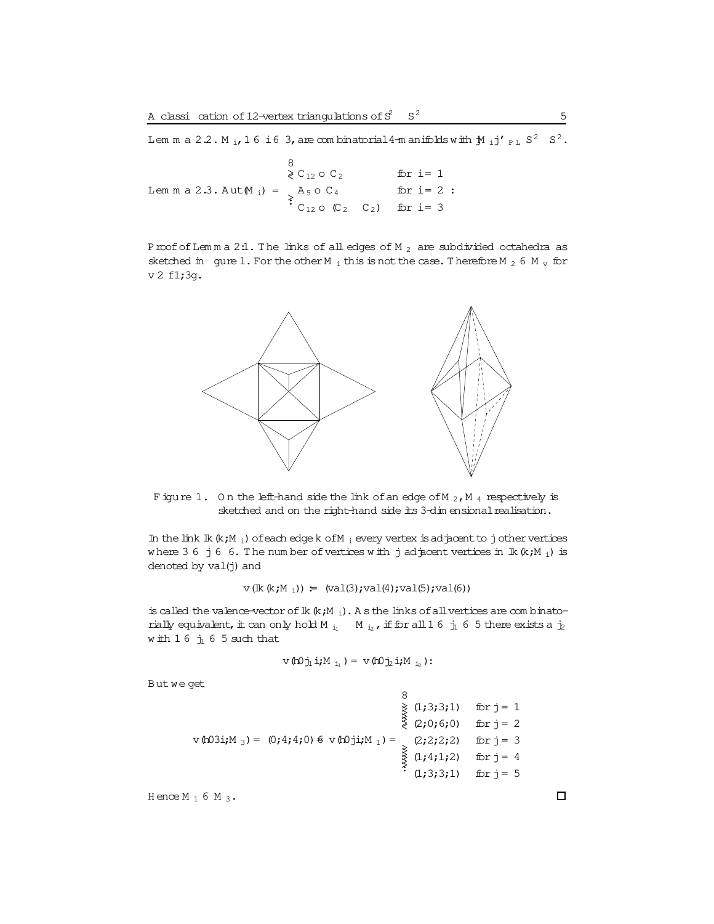Lem m a 2.2. M<sub>i</sub>, 16 i6 3, are combinatorial 4-m anifolds with  $\mathbf{M}$ <sub>i</sub> j'<sub>PL</sub> S<sup>2</sup> S<sup>2</sup>.

8  $\geqslant$  C<sub>12</sub> O C<sub>2</sub> for  $i = 1$ Lemma 2.3. Aut  $(M_i) = \begin{cases} A_5 \circ C_4 & \text{for } i = 2 \\ C_{12} \circ (C_2 & C_2) & \text{for } i = 3 \end{cases}$ for  $i=2$ :

Proof of Lemma 2.1. The links of all edges of M  $_2$  are subdivided octahedra as sketched in gure 1. For the other M<sub>i</sub> this is not the case. Therefore M<sub>2</sub> 6 M<sub>v</sub> for v 2 f1;3g.



Figure 1. On the left-hand side the link of an edge of M<sub>2</sub>, M<sub>4</sub> respectively is sketched and on the right-hand side its 3-dim ensional realisation.

In the link  $lk$   $(k;M_i)$  of each edge k of  $M_i$  every vertex is adjacent to jother vertices where 3 6 j 6 6. The number of vertices with j adjacent vertices in  $lk (k; M_i)$  is denoted by val(j) and

 $v(lk(k;M_1)) = (val(3); val(4); val(5); val(6))$ 

is called the valence-vector of  $lk$  ( $k$ ;  $M$ <sub>i</sub>). A s the links of all vertices are combinatorially equivalent, it can only hold M<sub>il</sub> M<sub>iz</sub>, if for all 16  $j_1$  6 5 there exists a  $j_2$ with  $16 \text{ } j_1 6 5$  such that

$$
\nabla (\mathbf{h} \mathbf{0} \dot{\mathbf{\eta}} \mathbf{i} \mathbf{j} \mathbf{M}_{\mathbf{i} \mathbf{i}}) = \nabla (\mathbf{h} \mathbf{0} \dot{\mathbf{\eta}} \mathbf{i} \mathbf{j} \mathbf{M}_{\mathbf{i} \mathbf{i}});
$$

But we get

8  
\n
$$
\begin{array}{rcl}\n & & 8 \\
 & \geq & (1;3;3;1) & \text{for } j = 1 \\
 & \geq & (2;0;6;0) & \text{for } j = 2 \\
 & \geq & (2;2;2;2) & \text{for } j = 3 \\
 & & \geq & (2;2;2;2) & \text{for } j = 4 \\
 & & \geq & (1;4;1;2) & \text{for } j = 4 \\
 & & \geq & (1;3;3;1) & \text{for } j = 5\n\end{array}
$$

Hence  $M_1$  6  $M_3$ .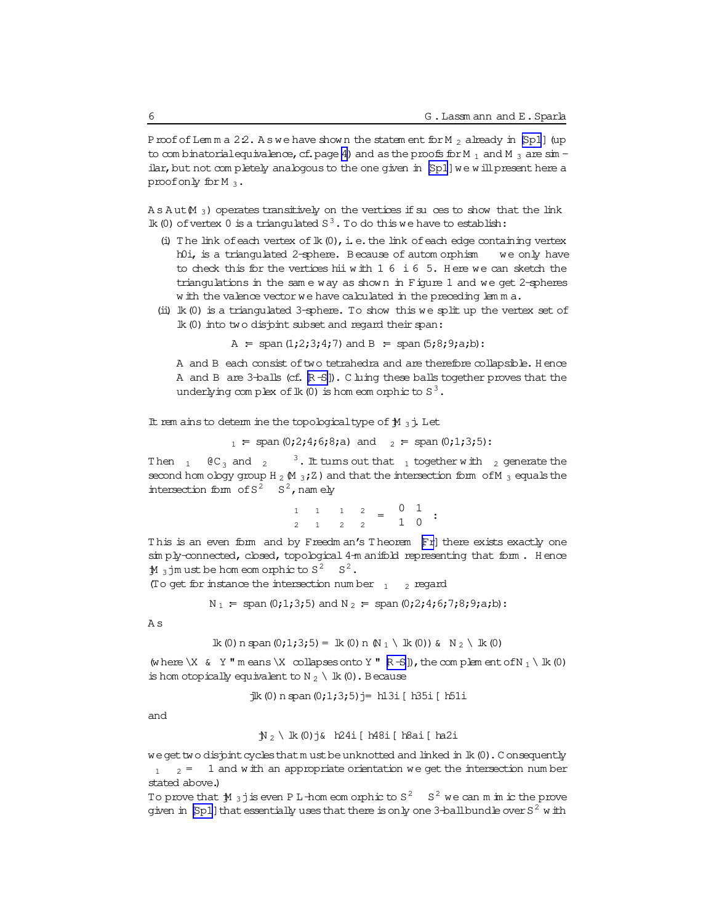Proof of Lemma 22. As we have shown the statement for  $M_2$  already in [Sp1] (up to combinatorial equivalence, cf. page 4) and as the proofs for M  $_1$  and M  $_3$  are sin ilar, but not completely analogous to the one given in [Sp1] we will present here a proof only for M<sub>3</sub>.

 $A s A ut(M_3)$  operates transitively on the vertices if su ces to show that the link Ik (0) of vertex 0 is a triangulated  $S^3$ . To do this we have to establish:

- (i) The link of each vertex of  $lk(0)$ , i.e. the link of each edge containing vertex h0i, is a triangulated 2-sphere. Because of autom orphism we only have to check this for the vertices hii with  $1\ 6\ i\ 6\ 5$ . Here we can sketch the triangulations in the same way as shown in Figure 1 and we get 2-spheres w ith the valence vector we have calculated in the preceding lemma.
- (ii)  $lk(0)$  is a triangulated 3-sphere. To show this we split up the vertex set of Ik (0) into two disjoint subset and regard their span:

A = span  $(1;2;3;4;7)$  and B = span  $(5;8;9; a,b)$ :

A and B each consist of two tetrahedra and are therefore collapsible. Hence A and B are 3-balls (cf. R-S]). C luing these balls together proves that the underlying complex of  $lk(0)$  is homeom or phic to  $S^3$ .

It rem ains to determ ine the topological type of  $\mathcal{M}_3$ ; Let

 $_1$  = span (0;2;4;6;8;a) and  $_2$  = span (0;1;3;5):

Then  $1 \oplus C_3$  and  $2$  $3$ . It tums out that  $1$  together with  $2$  generate the second hom ology group H<sub>2</sub>  $(M_3;Z)$  and that the intersection form of M<sub>3</sub> equals the intersection form of  $S^2$   $S^2$ , namely

> $\begin{array}{ccccccccc}\n1 & 1 & 1 & 2 & = & 0 & 1 \\
> 2 & 1 & 2 & 2 & 1 & 0\n\end{array}$  $2 \qquad 1 \qquad 2 \qquad 2$

This is an even form and by Freedm an's Theorem Fr] there exists exactly one simply-connected, closed, topological 4-m anifold representing that form. Hence  $M_3$  im ust be homeomorphic to  $S^2$   $S^2$ .

(To get for instance the intersection number  $_1$   $_2$  regard

 $N_1$  = span (0;1;3;5) and  $N_2$  = span (0;2;4;6;7;8;9;a;b):

A s

$$
lk (0) n span (0; 1; 3; 5) = lk (0) n N1 \& k (0) s N2 \& k (0)
$$

(where  $X \& Y$  " m eans  $X \text{ collapses onto } Y$  "  $R-S$  ), the complem ent of  $N_1 \setminus \mathbb{R}$  (0) is hom otopically equivalent to N  $_2$  \ lk (0) . Because

 $\exists k (0)$  n span  $(0;1;3;5)$   $\uparrow$  = h13i [ h35i [ h51i

and

$$
\mathcal{N}_2
$$
 \nlk (0) j& h24i [h48i [h8ai [h21]

we get two disjoint cycles that must be unknotted and linked in lk (0). Consequently  $_1$   $_2$  = 1 and w ith an appropriate orientation we get the intersection number stated above.)

To prove that  $\mathbb{M}$  3 j is even PL -hom eom or phic to  $S^2$   $S^2$  we can m in ic the prove given in [Sp1] that essentially uses that there is only one 3-ball bundle over  $S^2$  with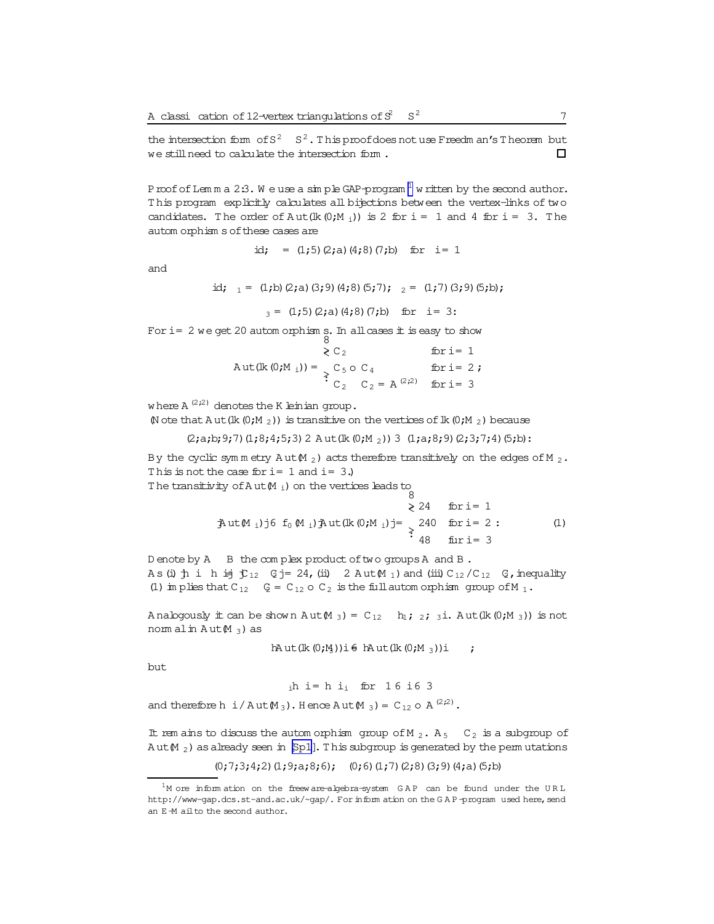the intersection form of  $S^2$   $S^2$ . This proof does not use Freedm an's Theorem but we still need to calculate the intersection form.  $\Box$ 

P roof of Lemma 2:3. We use a simple GAP-program  $^1$  w ritten by the second author. This program explicitly calculates all bijections between the vertex-links of two candidates. The order of Aut(Ik  $(0;M_1)$ ) is 2 for i = 1 and 4 for i = 3. The autom orphism s of these cases are

$$
id
$$
; = (1;5) (2; a) (4;8) (7; b) for i = 1

and

id;  $_1 = (1, b) (2, a) (3, 9) (4, 8) (5, 7);$   $_2 = (1, 7) (3, 9) (5, b);$ 

 $_3 = (1,5)(2,a)(4,8)(7,b)$  for i= 3:

For i= 2 we get 20 automorphisms. In all cases it is easy to show

 $\geqslant$  C<sub>2</sub> for  $i = 1$ Aut(lk (0;M <sub>i</sub>)) =  $\begin{cases} C_5 \circ C_4 & \text{for } i = 2; \\ C_2 & C_2 = A^{(2,2)} & \text{for } i = 3 \end{cases}$ 

where  $A^{(2,2)}$  denotes the K leinian group.

(N ote that A ut (Ik  $(0;M_2)$ ) is transitive on the vertices of Ik  $(0;M_2)$  because

 $(2; a; b; 9; 7)$   $(1; 8; 4; 5; 3)$  2 Aut $(lk (0; M_2))$  3  $(1; a; 8; 9)$   $(2; 3; 7; 4)$   $(5; b)$ :

By the cyclic symmetry Aut M<sub>2</sub>) acts therefore transitively on the edges of M<sub>2</sub>. This is not the case for  $i = 1$  and  $i = 3$ .

The transitivity of  $A$  ut  $(M_i)$  on the vertices leads to

 $\geq 24$  for i= 1  $\frac{1}{2}$ ut (M<sub>i</sub>)j 6 f<sub>0</sub> (M<sub>i</sub>) $\frac{1}{2}$ ut (lk (0;M<sub>i</sub>)j = 240 for i = 2 :  $(1)$ furi=  $3$ 

Denote by A B the complex product of two groups A and B. As (i)  $\uparrow$  i h i  $\uparrow$   $\uparrow$   $\downarrow$  2 = 24, (ii) 2 Aut  $\uparrow$  1) and (iii)  $C_{12}/C_{12}$   $C_{12}$   $\uparrow$  nequality (1) im plies that C<sub>12</sub>  $Q = C_{12} \circ C_2$  is the full automorphism group of M<sub>1</sub>.

Analogously it can be shown  $Aut(M_3) = C_{12}$  h<sub>1</sub>; 2; 3i. Aut (lk (0;M<sub>3</sub>)) is not nom alin  $Aut(M_3)$  as

 $hAut(lk(0;M))i\in hAut(lk(0;M_3))i$  ;

but

 $ih$  i= h i<sub>i</sub> for 16 i6 3 and therefore h i/Aut $M_3$ ). Hence Aut $M_3$ ) = C<sub>12</sub> o A<sup>(2,2)</sup>.

It rem ains to discuss the automorphism group of M<sub>2</sub>. A<sub>5</sub> C<sub>2</sub> is a subgroup of  $Aut(M_2)$  as already seen in [Sp1]. This subgroup is generated by the permutations

 $(0;7;3;4;2)$   $(1;9;3;8;6)$ ;  $(0;6)$   $(1;7)$   $(2;8)$   $(3;9)$   $(4;5)$   $(5;5)$ 

 $1_M$  ore information on the freeware-algebra-system GAP can be found under the URL http://www-gap.dcs.st-and.ac.uk/~gap/. For inform ation on the GAP-program used here, send an E-M ail to the second author.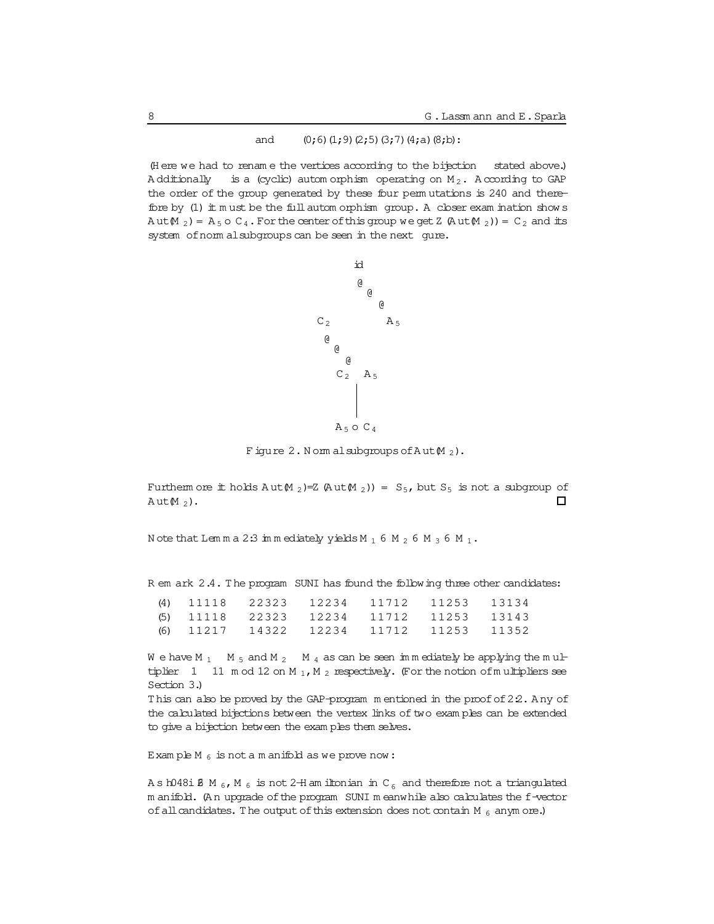#### and  $(0,6)$   $(1,9)$   $(2,5)$   $(3,7)$   $(4,a)$   $(8,b)$ :

(Here we had to rename the vertices according to the bijection stated above.) A dditionally is a (cyclic) automorphism operating on  $M_2$ . According to GAP the order of the group generated by these four permutations is 240 and therefore by (1) it must be the full automorphism group. A closer examination shows  $Aut(M_2) = A_5 \circ C_4$ . For the center of this group we get Z  $(Aut(M_2)) = C_2$  and its system of norm alsubgroups can be seen in the next gure.



Figure 2. Normal subgroups of  $Aut M_2$ ).

Furtherm ore  $\pm$  holds Aut $(M_2)=Z$  (Aut $(M_2)$ ) = S<sub>5</sub>, but S<sub>5</sub> is not a subgroup of  $\Box$ Aut $M_2$ ).

Note that Lemma 2:3 immediately yields  $M_1$  6  $M_2$  6  $M_3$  6  $M_1$ .

R em ark 2.4. The program SUNI has found the following three other candidates:

|  | (4) 11118 22323 12234 |                                         | 11712 11253 13134 |  |
|--|-----------------------|-----------------------------------------|-------------------|--|
|  |                       | (5) 11118 22323 12234 11712 11253 13143 |                   |  |
|  | (6) 11217 14322 12234 |                                         | 11712 11253 11352 |  |

We have M<sub>1</sub> M<sub>5</sub> and M<sub>2</sub> M<sub>4</sub> as can be seen immediately be applying the multiplier 1 11 m od 12 on M<sub>1</sub>, M<sub>2</sub> respectively. (For the notion of multipliers see Section 3.)

This can also be proved by the GAP-program mentioned in the proof of 22. Any of the calculated bijections between the vertex links of two examples can be extended to give a bifection between the examples them selves.

Example M<sub>6</sub> is not a manifold as we prove now:

As h048i  $\beta$  M<sub>6</sub>, M<sub>6</sub> is not 2-H am iltonian in C<sub>6</sub> and therefore not a triangulated m anifold. (An upgrade of the program SUNI m eanwhile also calculates the f-vector of all candidates. The output of this extension does not contain M  $_6$  anym ore.)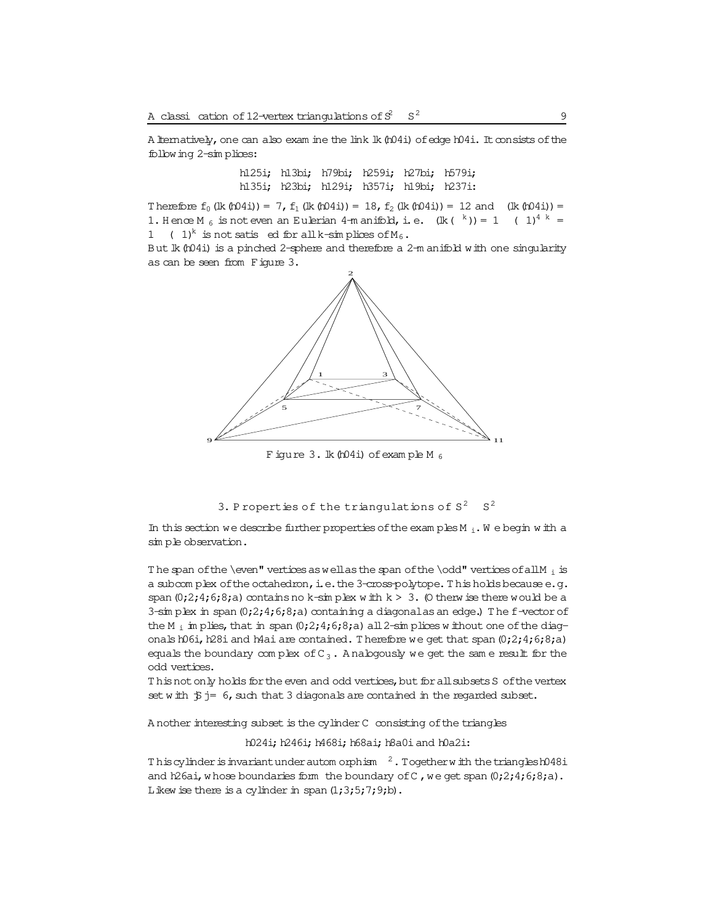A ltematively, one can also exam ine the link lk (t04i) of edge h04i. It consists of the following 2-sim plices:

> h125i; h13bi; h79bi; h259i; h27bi; h579i; h135i; h23bi; h129i; h357i; h19bi; h237i:

Therefore  $f_0$  (lk (h04i)) = 7,  $f_1$  (lk (h04i)) = 18,  $f_2$  (lk (h04i)) = 12 and (lk (h04i)) = 1. Hence M<sub>6</sub> is not even an Eulerian 4-m anifold, i.e.  $(\text{lk}$  (k) = 1 (1)<sup>4 k</sup> = 1 (1)<sup>k</sup> is not satis ed for all k-simplices of  $M_6$ .

But lk (h04i) is a pinched 2-sphere and therefore a 2-m anifold with one singularity as can be seen from Figure 3.



Figure 3. lk (h04i) of example M  $_6$ 

```
3. Properties of the triangulations of S^2 S^2
```
In this section we describe further properties of the exam ples  $M_i$ . We begin with a simple observation.

The span of the \even" vertices as well as the span of the \odd" vertices of all M  $_1$  is a subcomplex of the octahedron, i.e. the 3-cross-polytope. This holds because e.g. span  $(0,2,4,6,8,a)$  contains no k-sin plex with  $k > 3$ . (O then wise there would be a 3-sin plex in span  $(0, 2, 4, 6, 8, a)$  containing a diagonal as an edge.) The f-vector of the M<sub>i</sub> in plies, that in span  $(0,2,4,6,8, a)$  all 2-sim plices without one of the diagonals h06i, h28i and h4ai are contained. Therefore we get that span  $(0,2,4,6,8,a)$ equals the boundary complex of  $C_3$ . A nalogously we get the same result for the odd vertices.

This not only holds for the even and odd vertices, but for all subsets S of the vertex set with  $\ddot{p}$  j= 6, such that 3 diagonals are contained in the regarded subset.

A nother interesting subset is the cylinder C consisting of the triangles

h024i; h246i; h468i; h68ai; h8a0i and h0a2i:

This cylinder is invariant under autom orphism  $^{-2}$ . Together with the trianglesh048i and h26ai, whose boundaries form the boundary of C, we get span  $(0,2,4,6,8,a)$ . Likew ise there is a cylinder in span  $(1;3;5;7;9; b)$ .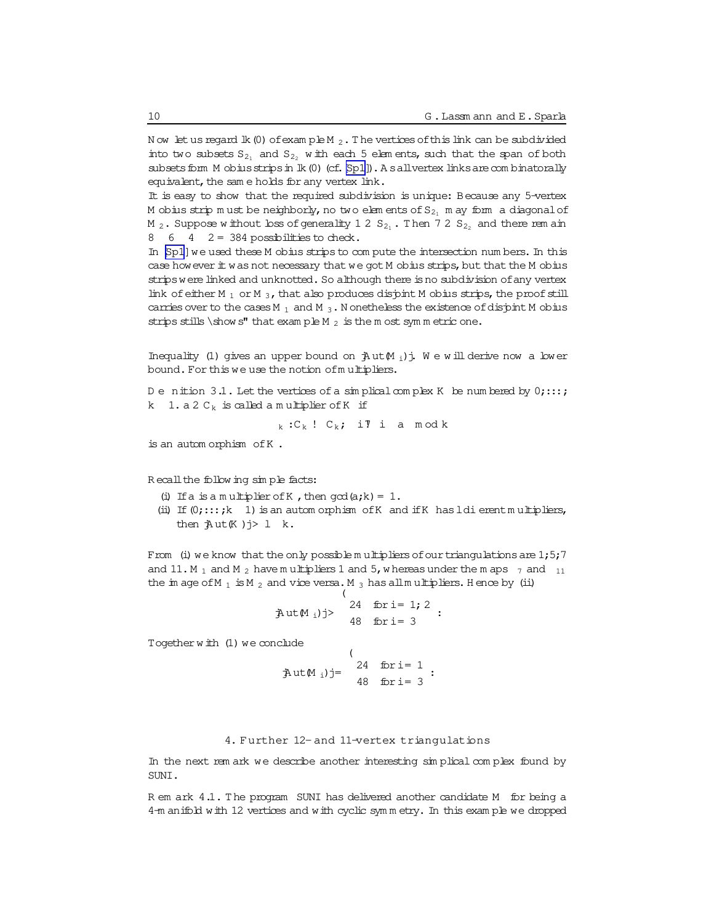Now let us regard  $lk(0)$  of example  $M_2$ . The vertices of this link can be subdivided into two subsets  $S_{2_1}$  and  $S_{2_2}$  with each 5 elements, such that the span of both subsets form M obius strips in lk (0) (cf. [Sp1]). A sallvertex links are combinatorally equivalent, the same holds for any vertex link.

It is easy to show that the required subdivision is unique: Because any 5-vertex M obius strip must be neighborly, no two elements of  $S_{2_1}$  may form a diagonal of M<sub>2</sub>. Suppose without loss of generality 12  $S_{2_1}$ . Then 72  $S_{2_2}$  and there rem ain 8  $6$  4  $2 = 384$  possibilities to check.

In [Sp1] we used these M obius strips to compute the intersection numbers. In this case how ever it was not necessary that we got M obius strips, but that the M obius strips were linked and unknotted. So although there is no subdivision of any vertex link of either M  $_1$  or M  $_3$ , that also produces disjoint M obius strips, the proof still carries over to the cases M<sub>1</sub> and M<sub>3</sub>. N onetheless the existence of disjpint M obius strips stills \show s" that example M  $_2$  is the most symmetric one.

Inequality (1) gives an upper bound on  $\frac{1}{2}$ ut $(M_i)$ j. We will derive now a lower bound. For this we use the notion of multipliers.

Denition 3.1. Let the vertices of a simplical complex K be numbered by  $0; \ldots;$ k  $1. a 2 C_k$  is called a multiplier of K if

 $_{k}$ : $C_{k}$ !  $C_{k}$ ; ill i a modk

is an automorphism of K.

Recall the following simple facts:

- (i) If a is a multiplier of K, then  $qcd(a;k) = 1$ .
- (ii) If  $(0; \ldots; k \ 1)$  is an automorphism of K and if K has ldi erent multipliers, then  $\frac{1}{2}$ ut (K) $j>1$  k.

From (i) we know that the only possible multipliers of our triangulations are  $1;5;7$ and 11. M<sub>1</sub> and M<sub>2</sub> have multipliers 1 and 5, whereas under the m aps  $\frac{1}{7}$  and  $\frac{11}{11}$ the image of M<sub>1</sub> is M<sub>2</sub> and vice versa. M<sub>3</sub> has all multipliers. Hence by (ii)

$$
\text{Aut}(M_i) = \int_{48}^{24} \frac{\text{for } i = 1; 2}{48 \text{ for } i = 3}
$$

Together  $w$  ith  $(1)$  we conclude

clude<br>  $j$  at  $(24 \text{ for } i = 1)$ <br>  $48 \text{ for } i = 3$ 

4. Further 12-and 11-vertex triangulations

In the next rem ark we describe another interesting simplical complex found by SUNI.

R em ark 4.1. The program SUNI has delivered another candidate M for being a 4-m anifold with 12 vertices and with cyclic symmetry. In this example we dropped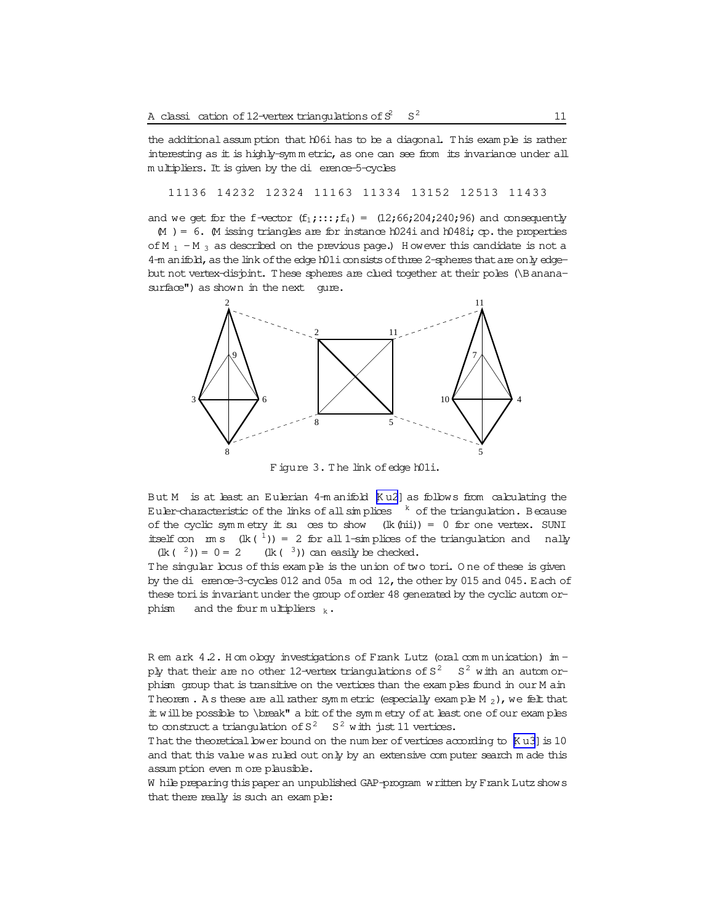the additional assumption that h06i has to be a diagonal. This example is rather interesting as it is highly-symmetric, as one can see from its invariance under all multipliers. It is given by the di erence-5-cycles

11136 14232 12324 11163 11334 13152 12513 11433

and we get for the f-vector  $(f_1; \ldots; f_4) = (12; 66; 204; 240; 96)$  and consequently

 $M$  ) = 6. M issing triangles are for instance h024i and h048i; cp. the properties of M<sub>1</sub> - M<sub>3</sub> as described on the previous page.) However this candidate is not a 4-m anifold, as the link of the edge h01i consists of three 2-spheres that are only edgebut not vertex-disjont. These spheres are clued together at their poles (\Bananasurface") as shown in the next qure.



Figure 3. The link of edge h01i.

But M is at least an Eulerian 4-m anifold [Ku2] as follows from calculating the Euler-characteristic of the links of all simplices  $k$  of the triangulation. Because of the cyclic symmetry it su ces to show  $(lk (hit)) = 0$  for one vertex. SUNI itself con m s  $(\text{lk } (\tfrac{1}{n})) = 2$  for all 1-simplices of the triangulation and nally  $(lk(3))$  can easily be checked.  $(\text{lk } (-2)) = 0 = 2$ 

The singular bous of this example is the union of two tori. One of these is given by the di erence-3-cycles 012 and 05a  $m$  od 12, the other by 015 and 045. Each of these tori is invariant under the group of order 48 generated by the cyclic autom orphism and the four multipliers  $_k$ .

R em ark 4.2. H om obgy investigations of Frank Lutz (oral communication) imply that their are no other 12-vertex triangulations of  $S^2$   $S^2$  with an automorphism group that is transitive on the vertices than the examples found in our M ain Theorem . As these are all rather symmetric (especially example  $M_2$ ), we felt that it will be possible to \break" a bit of the symmetry of at least one of our examples to construct a triangulation of  $S^2$   $S^2$  with just 11 vertices.

That the theoretical bwer bound on the number of vertices according to [K u3] is 10 and that this value was ruled out only by an extensive computer search made this assum ption even more plausible.

W hile preparing this paper an unpublished GAP-program written by Frank Lutz shows that there really is such an example: